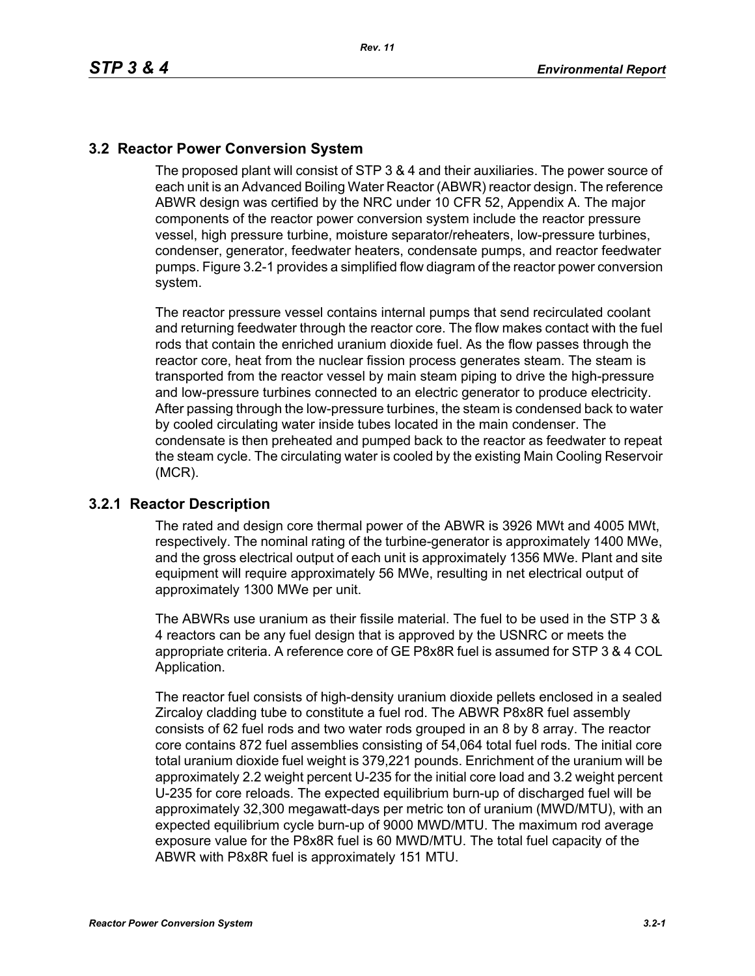## **3.2 Reactor Power Conversion System**

The proposed plant will consist of STP 3 & 4 and their auxiliaries. The power source of each unit is an Advanced Boiling Water Reactor (ABWR) reactor design. The reference ABWR design was certified by the NRC under 10 CFR 52, Appendix A. The major components of the reactor power conversion system include the reactor pressure vessel, high pressure turbine, moisture separator/reheaters, low-pressure turbines, condenser, generator, feedwater heaters, condensate pumps, and reactor feedwater pumps. Figure 3.2-1 provides a simplified flow diagram of the reactor power conversion system.

The reactor pressure vessel contains internal pumps that send recirculated coolant and returning feedwater through the reactor core. The flow makes contact with the fuel rods that contain the enriched uranium dioxide fuel. As the flow passes through the reactor core, heat from the nuclear fission process generates steam. The steam is transported from the reactor vessel by main steam piping to drive the high-pressure and low-pressure turbines connected to an electric generator to produce electricity. After passing through the low-pressure turbines, the steam is condensed back to water by cooled circulating water inside tubes located in the main condenser. The condensate is then preheated and pumped back to the reactor as feedwater to repeat the steam cycle. The circulating water is cooled by the existing Main Cooling Reservoir (MCR).

## **3.2.1 Reactor Description**

The rated and design core thermal power of the ABWR is 3926 MWt and 4005 MWt, respectively. The nominal rating of the turbine-generator is approximately 1400 MWe, and the gross electrical output of each unit is approximately 1356 MWe. Plant and site equipment will require approximately 56 MWe, resulting in net electrical output of approximately 1300 MWe per unit.

The ABWRs use uranium as their fissile material. The fuel to be used in the STP 3 & 4 reactors can be any fuel design that is approved by the USNRC or meets the appropriate criteria. A reference core of GE P8x8R fuel is assumed for STP 3 & 4 COL Application.

The reactor fuel consists of high-density uranium dioxide pellets enclosed in a sealed Zircaloy cladding tube to constitute a fuel rod. The ABWR P8x8R fuel assembly consists of 62 fuel rods and two water rods grouped in an 8 by 8 array. The reactor core contains 872 fuel assemblies consisting of 54,064 total fuel rods. The initial core total uranium dioxide fuel weight is 379,221 pounds. Enrichment of the uranium will be approximately 2.2 weight percent U-235 for the initial core load and 3.2 weight percent U-235 for core reloads. The expected equilibrium burn-up of discharged fuel will be approximately 32,300 megawatt-days per metric ton of uranium (MWD/MTU), with an expected equilibrium cycle burn-up of 9000 MWD/MTU. The maximum rod average exposure value for the P8x8R fuel is 60 MWD/MTU. The total fuel capacity of the ABWR with P8x8R fuel is approximately 151 MTU.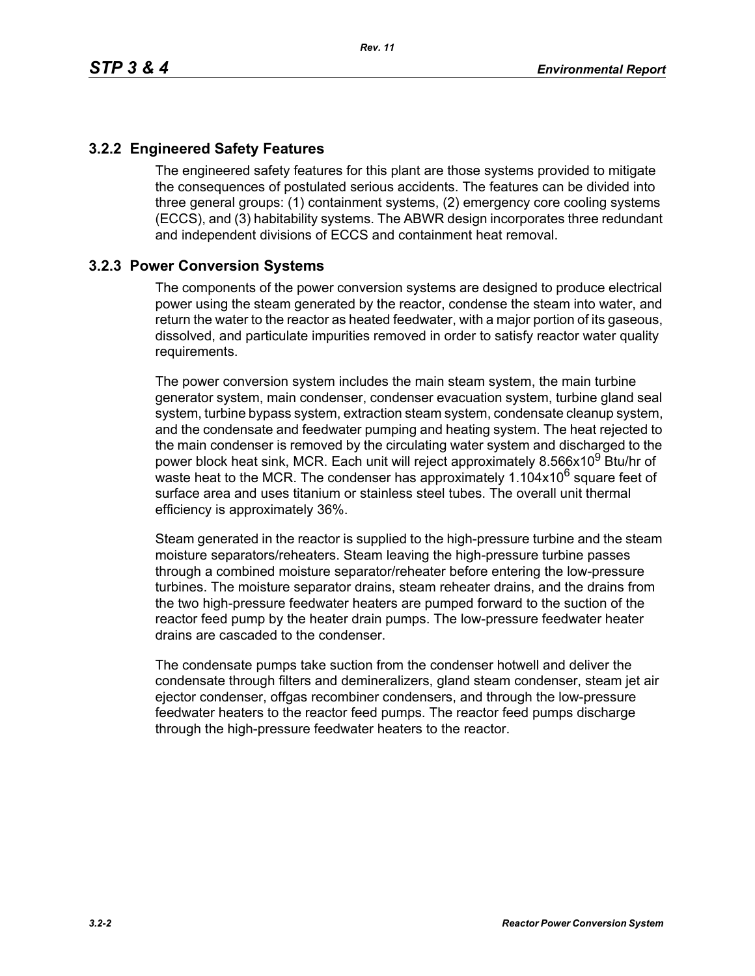## **3.2.2 Engineered Safety Features**

The engineered safety features for this plant are those systems provided to mitigate the consequences of postulated serious accidents. The features can be divided into three general groups: (1) containment systems, (2) emergency core cooling systems (ECCS), and (3) habitability systems. The ABWR design incorporates three redundant and independent divisions of ECCS and containment heat removal.

## **3.2.3 Power Conversion Systems**

The components of the power conversion systems are designed to produce electrical power using the steam generated by the reactor, condense the steam into water, and return the water to the reactor as heated feedwater, with a major portion of its gaseous, dissolved, and particulate impurities removed in order to satisfy reactor water quality requirements.

The power conversion system includes the main steam system, the main turbine generator system, main condenser, condenser evacuation system, turbine gland seal system, turbine bypass system, extraction steam system, condensate cleanup system, and the condensate and feedwater pumping and heating system. The heat rejected to the main condenser is removed by the circulating water system and discharged to the power block heat sink, MCR. Each unit will reject approximately 8.566x10<sup>9</sup> Btu/hr of waste heat to the MCR. The condenser has approximately  $1.104x10^6$  square feet of surface area and uses titanium or stainless steel tubes. The overall unit thermal efficiency is approximately 36%.

Steam generated in the reactor is supplied to the high-pressure turbine and the steam moisture separators/reheaters. Steam leaving the high-pressure turbine passes through a combined moisture separator/reheater before entering the low-pressure turbines. The moisture separator drains, steam reheater drains, and the drains from the two high-pressure feedwater heaters are pumped forward to the suction of the reactor feed pump by the heater drain pumps. The low-pressure feedwater heater drains are cascaded to the condenser.

The condensate pumps take suction from the condenser hotwell and deliver the condensate through filters and demineralizers, gland steam condenser, steam jet air ejector condenser, offgas recombiner condensers, and through the low-pressure feedwater heaters to the reactor feed pumps. The reactor feed pumps discharge through the high-pressure feedwater heaters to the reactor.